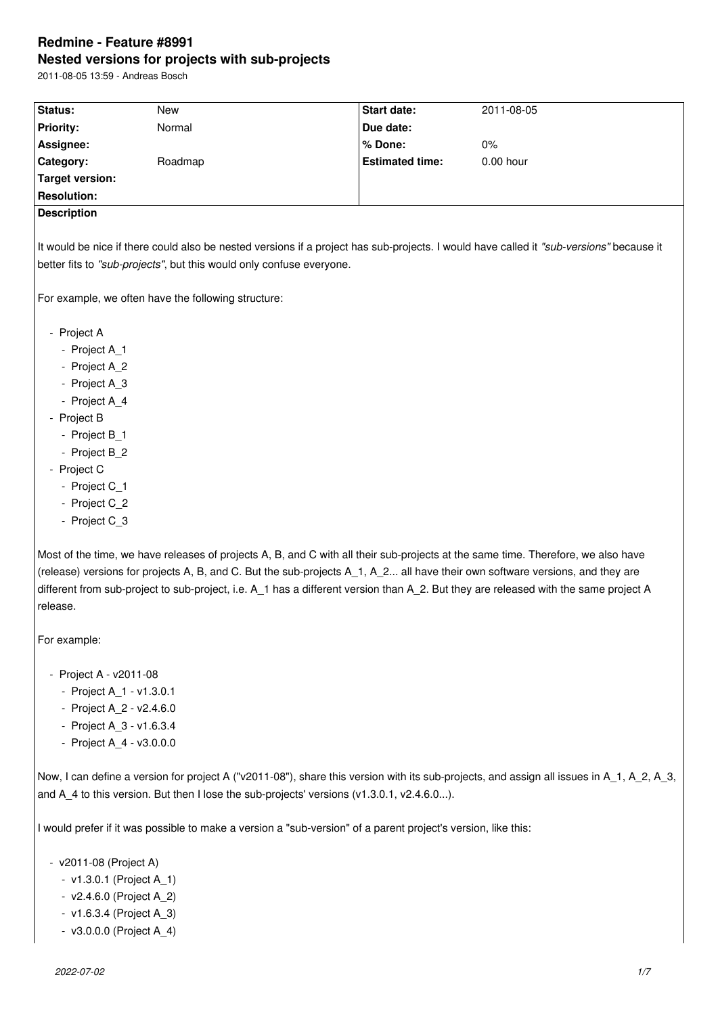# **Redmine - Feature #8991 Nested versions for projects with sub-projects**

2011-08-05 13:59 - Andreas Bosch

| Status:                                                                                                                                 | New                                                                                                                                 | <b>Start date:</b>     | 2011-08-05  |  |  |  |
|-----------------------------------------------------------------------------------------------------------------------------------------|-------------------------------------------------------------------------------------------------------------------------------------|------------------------|-------------|--|--|--|
| <b>Priority:</b>                                                                                                                        | Normal                                                                                                                              | Due date:              |             |  |  |  |
| Assignee:                                                                                                                               |                                                                                                                                     | % Done:                | 0%          |  |  |  |
| Category:                                                                                                                               | Roadmap                                                                                                                             | <b>Estimated time:</b> | $0.00$ hour |  |  |  |
| <b>Target version:</b>                                                                                                                  |                                                                                                                                     |                        |             |  |  |  |
| <b>Resolution:</b>                                                                                                                      |                                                                                                                                     |                        |             |  |  |  |
| <b>Description</b>                                                                                                                      |                                                                                                                                     |                        |             |  |  |  |
|                                                                                                                                         |                                                                                                                                     |                        |             |  |  |  |
| It would be nice if there could also be nested versions if a project has sub-projects. I would have called it "sub-versions" because it |                                                                                                                                     |                        |             |  |  |  |
|                                                                                                                                         | better fits to "sub-projects", but this would only confuse everyone.                                                                |                        |             |  |  |  |
|                                                                                                                                         |                                                                                                                                     |                        |             |  |  |  |
|                                                                                                                                         | For example, we often have the following structure:                                                                                 |                        |             |  |  |  |
|                                                                                                                                         |                                                                                                                                     |                        |             |  |  |  |
| - Project A<br>- Project A_1                                                                                                            |                                                                                                                                     |                        |             |  |  |  |
| - Project A_2                                                                                                                           |                                                                                                                                     |                        |             |  |  |  |
| - Project A_3                                                                                                                           |                                                                                                                                     |                        |             |  |  |  |
| - Project A_4                                                                                                                           |                                                                                                                                     |                        |             |  |  |  |
| - Project B                                                                                                                             |                                                                                                                                     |                        |             |  |  |  |
| - Project B_1                                                                                                                           |                                                                                                                                     |                        |             |  |  |  |
| - Project B_2                                                                                                                           |                                                                                                                                     |                        |             |  |  |  |
| - Project C                                                                                                                             |                                                                                                                                     |                        |             |  |  |  |
| - Project C_1                                                                                                                           |                                                                                                                                     |                        |             |  |  |  |
| - Project C 2                                                                                                                           |                                                                                                                                     |                        |             |  |  |  |
| - Project C_3                                                                                                                           |                                                                                                                                     |                        |             |  |  |  |
|                                                                                                                                         |                                                                                                                                     |                        |             |  |  |  |
|                                                                                                                                         | Most of the time, we have releases of projects A, B, and C with all their sub-projects at the same time. Therefore, we also have    |                        |             |  |  |  |
|                                                                                                                                         | (release) versions for projects A, B, and C. But the sub-projects A_1, A_2 all have their own software versions, and they are       |                        |             |  |  |  |
|                                                                                                                                         | different from sub-project to sub-project, i.e. A_1 has a different version than A_2. But they are released with the same project A |                        |             |  |  |  |
| release.                                                                                                                                |                                                                                                                                     |                        |             |  |  |  |
|                                                                                                                                         |                                                                                                                                     |                        |             |  |  |  |
| For example:                                                                                                                            |                                                                                                                                     |                        |             |  |  |  |
|                                                                                                                                         |                                                                                                                                     |                        |             |  |  |  |
| - Project A - v2011-08                                                                                                                  |                                                                                                                                     |                        |             |  |  |  |
| - Project A_1 - v1.3.0.1                                                                                                                |                                                                                                                                     |                        |             |  |  |  |

- Project A\_2 v2.4.6.0
- Project A\_3 v1.6.3.4
- Project A\_4 v3.0.0.0

Now, I can define a version for project A ("v2011-08"), share this version with its sub-projects, and assign all issues in A\_1, A\_2, A\_3, and A\_4 to this version. But then I lose the sub-projects' versions (v1.3.0.1, v2.4.6.0...).

I would prefer if it was possible to make a version a "sub-version" of a parent project's version, like this:

- v2011-08 (Project A)

- v1.3.0.1 (Project A\_1)
- v2.4.6.0 (Project A\_2)
- v1.6.3.4 (Project A\_3)
- v3.0.0.0 (Project A\_4)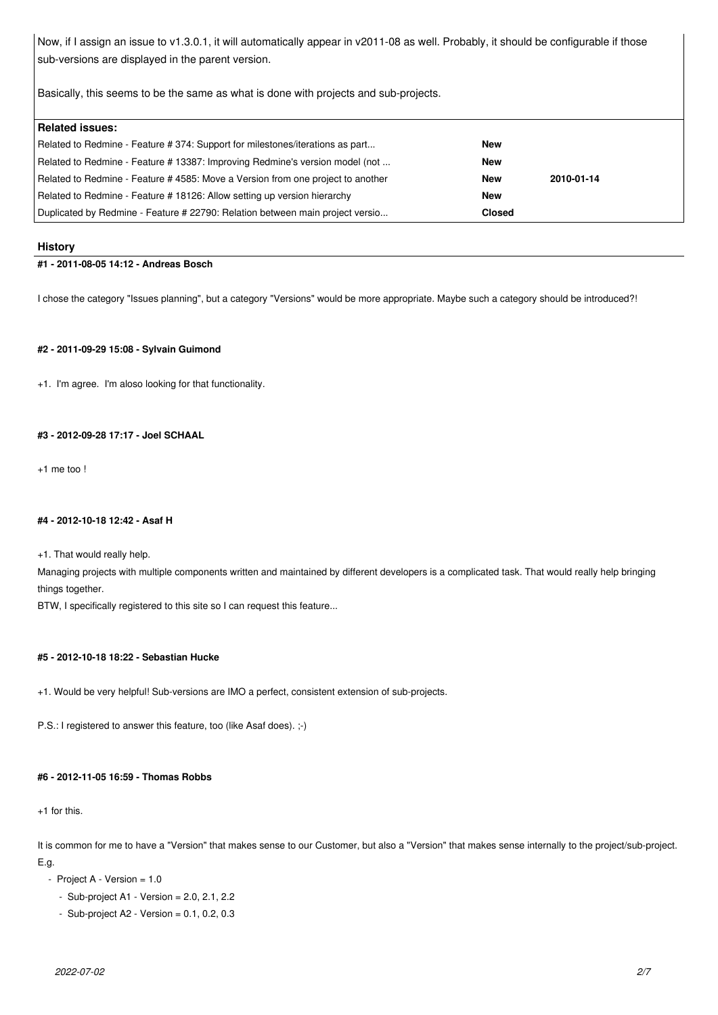Now, if I assign an issue to v1.3.0.1, it will automatically appear in v2011-08 as well. Probably, it should be configurable if those sub-versions are displayed in the parent version.

Basically, this seems to be the same as what is done with projects and sub-projects.

| <b>Related issues:</b>                                                          |               |            |
|---------------------------------------------------------------------------------|---------------|------------|
| Related to Redmine - Feature # 374: Support for milestones/iterations as part   | New           |            |
| Related to Redmine - Feature # 13387: Improving Redmine's version model (not    | New           |            |
| Related to Redmine - Feature # 4585: Move a Version from one project to another | New           | 2010-01-14 |
| Related to Redmine - Feature # 18126: Allow setting up version hierarchy        | <b>New</b>    |            |
| Duplicated by Redmine - Feature # 22790: Relation between main project versio   | <b>Closed</b> |            |

### **History**

# **#1 - 2011-08-05 14:12 - Andreas Bosch**

I chose the category "Issues planning", but a category "Versions" would be more appropriate. Maybe such a category should be introduced?!

# **#2 - 2011-09-29 15:08 - Sylvain Guimond**

+1. I'm agree. I'm aloso looking for that functionality.

# **#3 - 2012-09-28 17:17 - Joel SCHAAL**

+1 me too !

# **#4 - 2012-10-18 12:42 - Asaf H**

+1. That would really help.

Managing projects with multiple components written and maintained by different developers is a complicated task. That would really help bringing things together.

BTW, I specifically registered to this site so I can request this feature...

# **#5 - 2012-10-18 18:22 - Sebastian Hucke**

+1. Would be very helpful! Sub-versions are IMO a perfect, consistent extension of sub-projects.

P.S.: I registered to answer this feature, too (like Asaf does). ;-)

# **#6 - 2012-11-05 16:59 - Thomas Robbs**

+1 for this.

It is common for me to have a "Version" that makes sense to our Customer, but also a "Version" that makes sense internally to the project/sub-project. E.g.

- $-$  Project A Version  $= 1.0$ 
	- $-$  Sub-project A1  $-$  Version = 2.0, 2.1, 2.2
	- $-$  Sub-project A2  $-$  Version = 0.1, 0.2, 0.3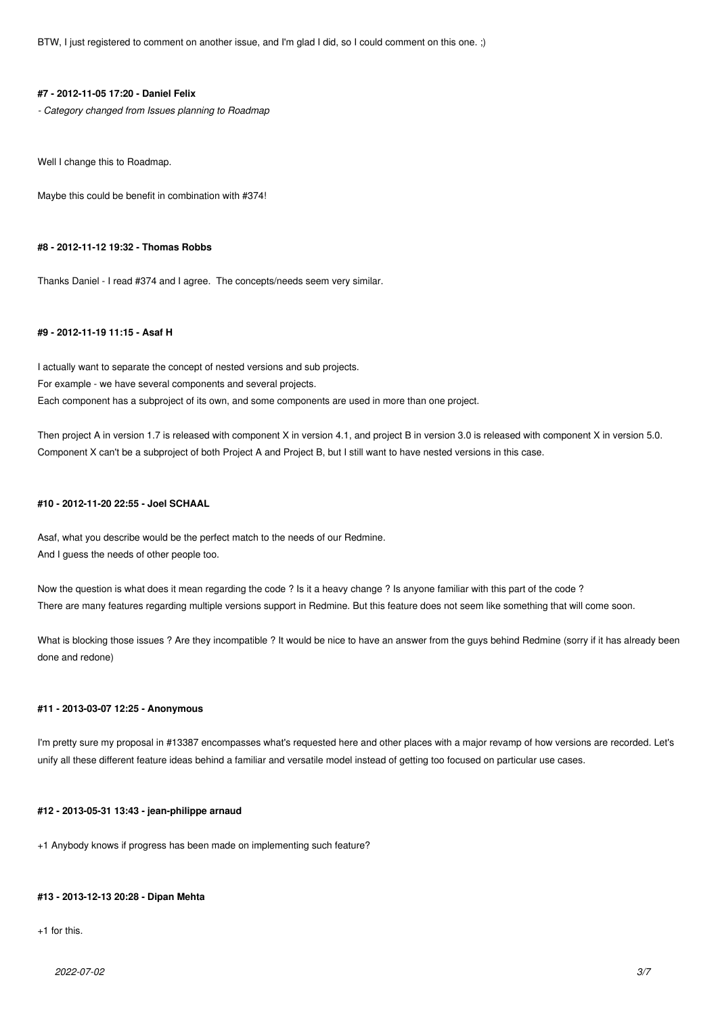BTW, I just registered to comment on another issue, and I'm glad I did, so I could comment on this one. ;)

### **#7 - 2012-11-05 17:20 - Daniel Felix**

*- Category changed from Issues planning to Roadmap*

Well I change this to Roadmap.

Maybe this could be benefit in combination with #374!

# **#8 - 2012-11-12 19:32 - Thomas Robbs**

Thanks Daniel - I read #374 and I agree. The concepts/needs seem very similar.

### **#9 - 2012-11-19 11:15 - Asaf H**

I actually want to separate the concept of nested versions and sub projects. For example - we have several components and several projects. Each component has a subproject of its own, and some components are used in more than one project.

Then project A in version 1.7 is released with component X in version 4.1, and project B in version 3.0 is released with component X in version 5.0. Component X can't be a subproject of both Project A and Project B, but I still want to have nested versions in this case.

#### **#10 - 2012-11-20 22:55 - Joel SCHAAL**

Asaf, what you describe would be the perfect match to the needs of our Redmine. And I guess the needs of other people too.

Now the question is what does it mean regarding the code ? Is it a heavy change ? Is anyone familiar with this part of the code ? There are many features regarding multiple versions support in Redmine. But this feature does not seem like something that will come soon.

What is blocking those issues ? Are they incompatible ? It would be nice to have an answer from the guys behind Redmine (sorry if it has already been done and redone)

#### **#11 - 2013-03-07 12:25 - Anonymous**

I'm pretty sure my proposal in #13387 encompasses what's requested here and other places with a major revamp of how versions are recorded. Let's unify all these different feature ideas behind a familiar and versatile model instead of getting too focused on particular use cases.

# **#12 - 2013-05-31 13:43 - jean-philippe arnaud**

+1 Anybody knows if progress has been made on implementing such feature?

# **#13 - 2013-12-13 20:28 - Dipan Mehta**

+1 for this.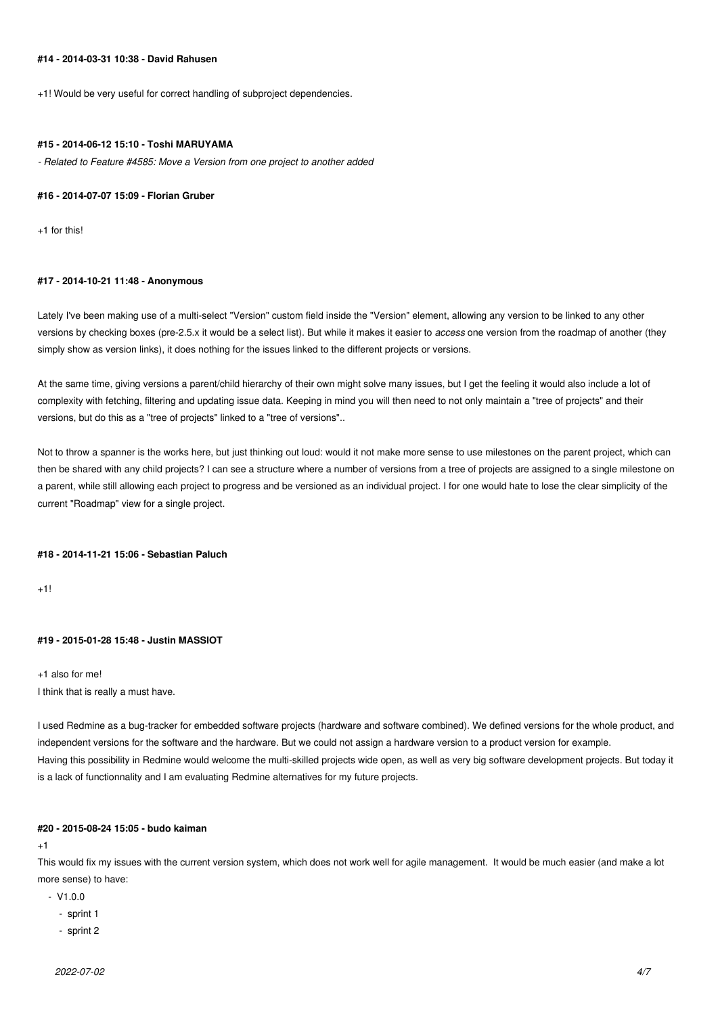# **#14 - 2014-03-31 10:38 - David Rahusen**

+1! Would be very useful for correct handling of subproject dependencies.

#### **#15 - 2014-06-12 15:10 - Toshi MARUYAMA**

*- Related to Feature #4585: Move a Version from one project to another added*

#### **#16 - 2014-07-07 15:09 - Florian Gruber**

+1 for this!

#### **#17 - 2014-10-21 11:48 - Anonymous**

Lately I've been making use of a multi-select "Version" custom field inside the "Version" element, allowing any version to be linked to any other versions by checking boxes (pre-2.5.x it would be a select list). But while it makes it easier to *access* one version from the roadmap of another (they simply show as version links), it does nothing for the issues linked to the different projects or versions.

At the same time, giving versions a parent/child hierarchy of their own might solve many issues, but I get the feeling it would also include a lot of complexity with fetching, filtering and updating issue data. Keeping in mind you will then need to not only maintain a "tree of projects" and their versions, but do this as a "tree of projects" linked to a "tree of versions"..

Not to throw a spanner is the works here, but just thinking out loud: would it not make more sense to use milestones on the parent project, which can then be shared with any child projects? I can see a structure where a number of versions from a tree of projects are assigned to a single milestone on a parent, while still allowing each project to progress and be versioned as an individual project. I for one would hate to lose the clear simplicity of the current "Roadmap" view for a single project.

#### **#18 - 2014-11-21 15:06 - Sebastian Paluch**

 $+1!$ 

# **#19 - 2015-01-28 15:48 - Justin MASSIOT**

+1 also for me! I think that is really a must have.

I used Redmine as a bug-tracker for embedded software projects (hardware and software combined). We defined versions for the whole product, and independent versions for the software and the hardware. But we could not assign a hardware version to a product version for example. Having this possibility in Redmine would welcome the multi-skilled projects wide open, as well as very big software development projects. But today it is a lack of functionnality and I am evaluating Redmine alternatives for my future projects.

### **#20 - 2015-08-24 15:05 - budo kaiman**

 $+1$ 

This would fix my issues with the current version system, which does not work well for agile management. It would be much easier (and make a lot more sense) to have:

- $V1.0.0$ 
	- sprint 1
	- sprint 2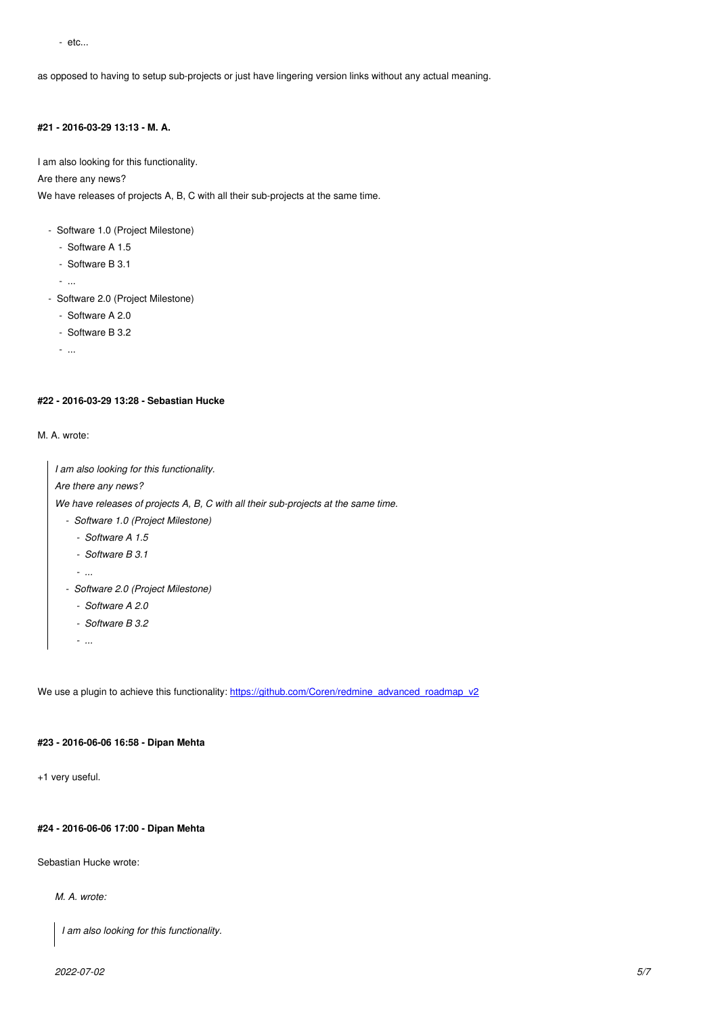as opposed to having to setup sub-projects or just have lingering version links without any actual meaning.

# **#21 - 2016-03-29 13:13 - M. A.**

I am also looking for this functionality.

Are there any news?

We have releases of projects A, B, C with all their sub-projects at the same time.

- Software 1.0 (Project Milestone)
	- Software A 1.5
	- Software B 3.1

- ...

- Software 2.0 (Project Milestone)
	- Software A 2.0
	- Software B 3.2

- ...

### **#22 - 2016-03-29 13:28 - Sebastian Hucke**

#### M. A. wrote:

| I am also looking for this functionality.                                          |  |  |
|------------------------------------------------------------------------------------|--|--|
| Are there any news?                                                                |  |  |
| We have releases of projects A, B, C with all their sub-projects at the same time. |  |  |
| - Software 1.0 (Project Milestone)                                                 |  |  |
| - Software A 1.5                                                                   |  |  |
| - Software B 3.1                                                                   |  |  |
| $\cdots$                                                                           |  |  |
| - Software 2.0 (Project Milestone)                                                 |  |  |
| - Software A 2.0                                                                   |  |  |
| - Software B 3.2                                                                   |  |  |
|                                                                                    |  |  |

We use a plugin to achieve this functionality: https://github.com/Coren/redmine\_advanced\_roadmap\_v2

# **#23 - 2016-06-06 16:58 - Dipan Mehta**

+1 very useful.

### **#24 - 2016-06-06 17:00 - Dipan Mehta**

Sebastian Hucke wrote:

## *M. A. wrote:*

*I am also looking for this functionality.*